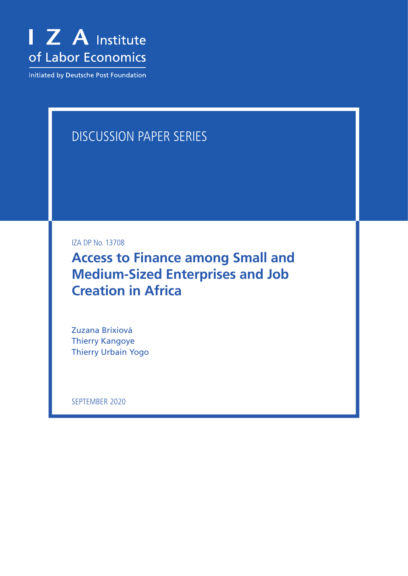

Initiated by Deutsche Post Foundation

# DISCUSSION PAPER SERIES

IZA DP No. 13708

**Access to Finance among Small and Medium-Sized Enterprises and Job Creation in Africa**

Zuzana Brixiová Thierry Kangoye Thierry Urbain Yogo

SEPTEMBER 2020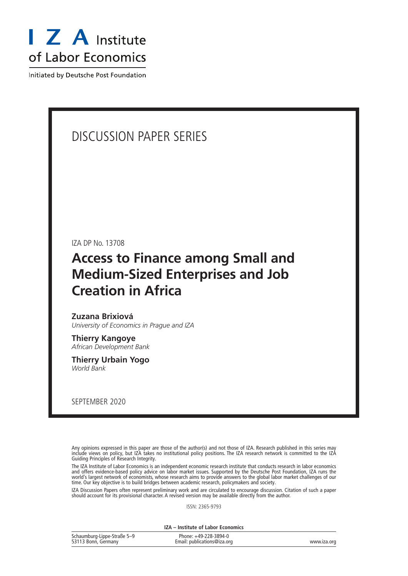

Initiated by Deutsche Post Foundation

# DISCUSSION PAPER SERIES

IZA DP No. 13708

# **Access to Finance among Small and Medium-Sized Enterprises and Job Creation in Africa**

#### **Zuzana Brixiová**

*University of Economics in Prague and IZA*

**Thierry Kangoye** *African Development Bank*

#### **Thierry Urbain Yogo** *World Bank*

SEPTEMBER 2020

Any opinions expressed in this paper are those of the author(s) and not those of IZA. Research published in this series may include views on policy, but IZA takes no institutional policy positions. The IZA research network is committed to the IZA Guiding Principles of Research Integrity.

The IZA Institute of Labor Economics is an independent economic research institute that conducts research in labor economics and offers evidence-based policy advice on labor market issues. Supported by the Deutsche Post Foundation, IZA runs the world's largest network of economists, whose research aims to provide answers to the global labor market challenges of our time. Our key objective is to build bridges between academic research, policymakers and society.

IZA Discussion Papers often represent preliminary work and are circulated to encourage discussion. Citation of such a paper should account for its provisional character. A revised version may be available directly from the author.

ISSN: 2365-9793

**IZA – Institute of Labor Economics**

| Schaumburg-Lippe-Straße 5-9 | Phone: +49-228-3894-0       |             |
|-----------------------------|-----------------------------|-------------|
| 53113 Bonn, Germany         | Email: publications@iza.org | www.iza.org |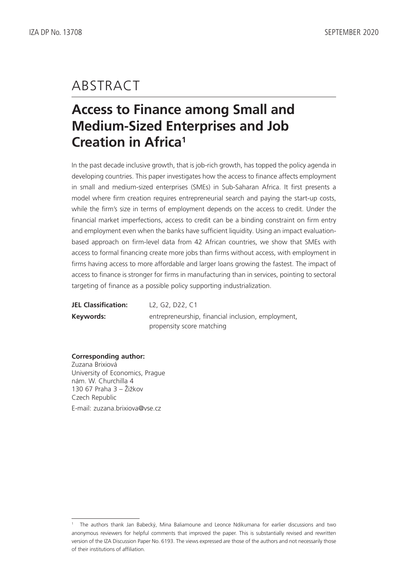# ABSTRACT

# **Access to Finance among Small and Medium-Sized Enterprises and Job Creation in Africa1**

In the past decade inclusive growth, that is job-rich growth, has topped the policy agenda in developing countries. This paper investigates how the access to finance affects employment in small and medium-sized enterprises (SMEs) in Sub-Saharan Africa. It first presents a model where firm creation requires entrepreneurial search and paying the start-up costs, while the firm's size in terms of employment depends on the access to credit. Under the financial market imperfections, access to credit can be a binding constraint on firm entry and employment even when the banks have sufficient liquidity. Using an impact evaluationbased approach on firm-level data from 42 African countries, we show that SMEs with access to formal financing create more jobs than firms without access, with employment in firms having access to more affordable and larger loans growing the fastest. The impact of access to finance is stronger for firms in manufacturing than in services, pointing to sectoral targeting of finance as a possible policy supporting industrialization.

**JEL Classification:** L2, G2, D22, C1

**Keywords:** entrepreneurship, financial inclusion, employment, propensity score matching

#### **Corresponding author:**

Zuzana Brixiová University of Economics, Prague nám. W. Churchilla 4 130 67 Praha 3 – Žižkov Czech Republic E-mail: zuzana.brixiova@vse.cz

<sup>1</sup> The authors thank Jan Babecký, Mina Baliamoune and Leonce Ndikumana for earlier discussions and two anonymous reviewers for helpful comments that improved the paper. This is substantially revised and rewritten version of the IZA Discussion Paper No. 6193. The views expressed are those of the authors and not necessarily those of their institutions of affiliation.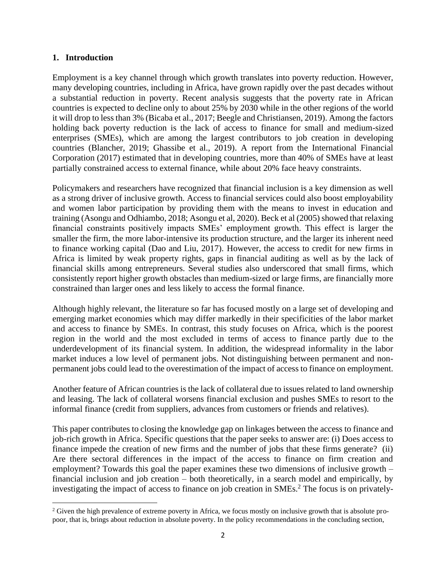#### **1. Introduction**

Employment is a key channel through which growth translates into poverty reduction. However, many developing countries, including in Africa, have grown rapidly over the past decades without a substantial reduction in poverty. Recent analysis suggests that the poverty rate in African countries is expected to decline only to about 25% by 2030 while in the other regions of the world it will drop to less than 3% (Bicaba et al., 2017; Beegle and Christiansen, 2019). Among the factors holding back poverty reduction is the lack of access to finance for small and medium-sized enterprises (SMEs), which are among the largest contributors to job creation in developing countries (Blancher, 2019; Ghassibe et al., 2019). A report from the International Financial Corporation (2017) estimated that in developing countries, more than 40% of SMEs have at least partially constrained access to external finance, while about 20% face heavy constraints.

Policymakers and researchers have recognized that financial inclusion is a key dimension as well as a strong driver of inclusive growth. Access to financial services could also boost employability and women labor participation by providing them with the means to invest in education and training (Asongu and Odhiambo, 2018; Asongu et al, 2020). Beck et al (2005) showed that relaxing financial constraints positively impacts SMEs' employment growth. This effect is larger the smaller the firm, the more labor-intensive its production structure, and the larger its inherent need to finance working capital (Dao and Liu, 2017). However, the access to credit for new firms in Africa is limited by weak property rights, gaps in financial auditing as well as by the lack of financial skills among entrepreneurs. Several studies also underscored that small firms, which consistently report higher growth obstacles than medium-sized or large firms, are financially more constrained than larger ones and less likely to access the formal finance.

Although highly relevant, the literature so far has focused mostly on a large set of developing and emerging market economies which may differ markedly in their specificities of the labor market and access to finance by SMEs. In contrast, this study focuses on Africa, which is the poorest region in the world and the most excluded in terms of access to finance partly due to the underdevelopment of its financial system. In addition, the widespread informality in the labor market induces a low level of permanent jobs. Not distinguishing between permanent and nonpermanent jobs could lead to the overestimation of the impact of access to finance on employment.

Another feature of African countries is the lack of collateral due to issues related to land ownership and leasing. The lack of collateral worsens financial exclusion and pushes SMEs to resort to the informal finance (credit from suppliers, advances from customers or friends and relatives).

This paper contributes to closing the knowledge gap on linkages between the access to finance and job-rich growth in Africa. Specific questions that the paper seeks to answer are: (i) Does access to finance impede the creation of new firms and the number of jobs that these firms generate? (ii) Are there sectoral differences in the impact of the access to finance on firm creation and employment? Towards this goal the paper examines these two dimensions of inclusive growth – financial inclusion and job creation – both theoretically, in a search model and empirically, by investigating the impact of access to finance on job creation in SMEs.<sup>2</sup> The focus is on privately-

<sup>&</sup>lt;sup>2</sup> Given the high prevalence of extreme poverty in Africa, we focus mostly on inclusive growth that is absolute propoor, that is, brings about reduction in absolute poverty. In the policy recommendations in the concluding section,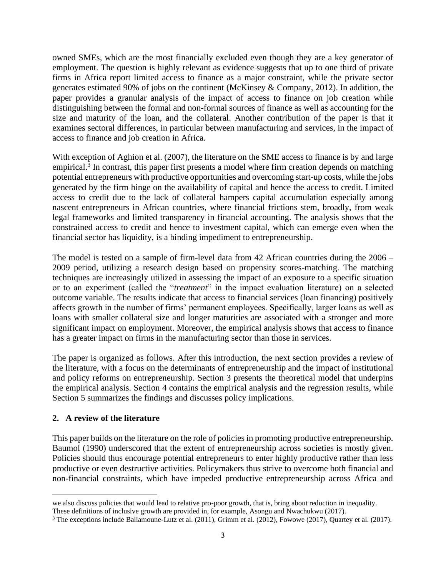owned SMEs, which are the most financially excluded even though they are a key generator of employment. The question is highly relevant as evidence suggests that up to one third of private firms in Africa report limited access to finance as a major constraint, while the private sector generates estimated 90% of jobs on the continent (McKinsey & Company, 2012). In addition, the paper provides a granular analysis of the impact of access to finance on job creation while distinguishing between the formal and non-formal sources of finance as well as accounting for the size and maturity of the loan, and the collateral. Another contribution of the paper is that it examines sectoral differences, in particular between manufacturing and services, in the impact of access to finance and job creation in Africa.

With exception of Aghion et al. (2007), the literature on the SME access to finance is by and large empirical.<sup>3</sup> In contrast, this paper first presents a model where firm creation depends on matching potential entrepreneurs with productive opportunities and overcoming start-up costs, while the jobs generated by the firm hinge on the availability of capital and hence the access to credit. Limited access to credit due to the lack of collateral hampers capital accumulation especially among nascent entrepreneurs in African countries, where financial frictions stem, broadly, from weak legal frameworks and limited transparency in financial accounting. The analysis shows that the constrained access to credit and hence to investment capital, which can emerge even when the financial sector has liquidity, is a binding impediment to entrepreneurship.

The model is tested on a sample of firm-level data from 42 African countries during the 2006 – 2009 period, utilizing a research design based on propensity scores-matching. The matching techniques are increasingly utilized in assessing the impact of an exposure to a specific situation or to an experiment (called the "*treatment*" in the impact evaluation literature) on a selected outcome variable. The results indicate that access to financial services (loan financing) positively affects growth in the number of firms' permanent employees. Specifically, larger loans as well as loans with smaller collateral size and longer maturities are associated with a stronger and more significant impact on employment. Moreover, the empirical analysis shows that access to finance has a greater impact on firms in the manufacturing sector than those in services.

The paper is organized as follows. After this introduction, the next section provides a review of the literature, with a focus on the determinants of entrepreneurship and the impact of institutional and policy reforms on entrepreneurship. Section 3 presents the theoretical model that underpins the empirical analysis. Section 4 contains the empirical analysis and the regression results, while Section 5 summarizes the findings and discusses policy implications.

### **2. A review of the literature**

This paper builds on the literature on the role of policies in promoting productive entrepreneurship. Baumol (1990) underscored that the extent of entrepreneurship across societies is mostly given. Policies should thus encourage potential entrepreneurs to enter highly productive rather than less productive or even destructive activities. Policymakers thus strive to overcome both financial and non-financial constraints, which have impeded productive entrepreneurship across Africa and

we also discuss policies that would lead to relative pro-poor growth, that is, bring about reduction in inequality. These definitions of inclusive growth are provided in, for example, Asongu and Nwachukwu (2017).

<sup>3</sup> The exceptions include Baliamoune-Lutz et al. (2011), Grimm et al. (2012), Fowowe (2017), Quartey et al. (2017).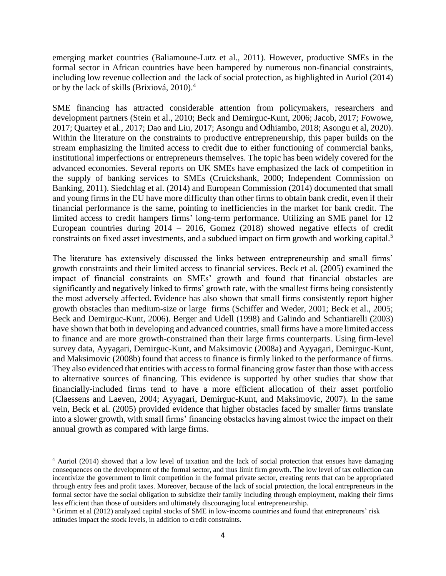emerging market countries (Baliamoune-Lutz et al., 2011). However, productive SMEs in the formal sector in African countries have been hampered by numerous non-financial constraints, including low revenue collection and the lack of social protection, as highlighted in Auriol (2014) or by the lack of skills (Brixiová, 2010). 4

SME financing has attracted considerable attention from policymakers, researchers and development partners (Stein et al., 2010; Beck and Demirguc-Kunt, 2006; Jacob, 2017; Fowowe, 2017; Quartey et al., 2017; Dao and Liu, 2017; Asongu and Odhiambo, 2018; Asongu et al, 2020). Within the literature on the constraints to productive entrepreneurship, this paper builds on the stream emphasizing the limited access to credit due to either functioning of commercial banks, institutional imperfections or entrepreneurs themselves. The topic has been widely covered for the advanced economies. Several reports on UK SMEs have emphasized the lack of competition in the supply of banking services to SMEs (Cruickshank, 2000; Independent Commission on Banking, 2011). Siedchlag et al. (2014) and European Commission (2014) documented that small and young firms in the EU have more difficulty than other firms to obtain bank credit, even if their financial performance is the same, pointing to inefficiencies in the market for bank credit. The limited access to credit hampers firms' long-term performance. Utilizing an SME panel for 12 European countries during 2014 – 2016, Gomez (2018) showed negative effects of credit constraints on fixed asset investments, and a subdued impact on firm growth and working capital.<sup>5</sup>

The literature has extensively discussed the links between entrepreneurship and small firms' growth constraints and their limited access to financial services. Beck et al. (2005) examined the impact of financial constraints on SMEs' growth and found that financial obstacles are significantly and negatively linked to firms' growth rate, with the smallest firms being consistently the most adversely affected. Evidence has also shown that small firms consistently report higher growth obstacles than medium-size or large firms (Schiffer and Weder, 2001; Beck et al., 2005; Beck and Demirguc-Kunt, 2006). Berger and Udell (1998) and Galindo and Schantiarelli (2003) have shown that both in developing and advanced countries, small firms have a more limited access to finance and are more growth-constrained than their large firms counterparts. Using firm-level survey data, Ayyagari, Demirguc-Kunt, and Maksimovic (2008a) and Ayyagari, Demirguc-Kunt, and Maksimovic (2008b) found that access to finance is firmly linked to the performance of firms. They also evidenced that entities with access to formal financing grow faster than those with access to alternative sources of financing. This evidence is supported by other studies that show that financially-included firms tend to have a more efficient allocation of their asset portfolio (Claessens and Laeven, 2004; Ayyagari, Demirguc-Kunt, and Maksimovic, 2007). In the same vein, Beck et al. (2005) provided evidence that higher obstacles faced by smaller firms translate into a slower growth, with small firms' financing obstacles having almost twice the impact on their annual growth as compared with large firms.

<sup>4</sup> Auriol (2014) showed that a low level of taxation and the lack of social protection that ensues have damaging consequences on the development of the formal sector, and thus limit firm growth. The low level of tax collection can incentivize the government to limit competition in the formal private sector, creating rents that can be appropriated through entry fees and profit taxes. Moreover, because of the lack of social protection, the local entrepreneurs in the formal sector have the social obligation to subsidize their family including through employment, making their firms less efficient than those of outsiders and ultimately discouraging local entrepreneurship.

<sup>5</sup> Grimm et al (2012) analyzed capital stocks of SME in low-income countries and found that entrepreneurs' risk attitudes impact the stock levels, in addition to credit constraints.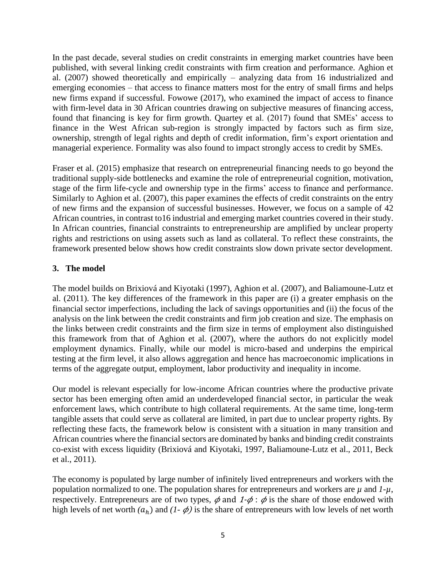In the past decade, several studies on credit constraints in emerging market countries have been published, with several linking credit constraints with firm creation and performance. Aghion et al. (2007) showed theoretically and empirically – analyzing data from 16 industrialized and emerging economies – that access to finance matters most for the entry of small firms and helps new firms expand if successful. Fowowe (2017), who examined the impact of access to finance with firm-level data in 30 African countries drawing on subjective measures of financing access, found that financing is key for firm growth. Quartey et al. (2017) found that SMEs' access to finance in the West African sub-region is strongly impacted by factors such as firm size, ownership, strength of legal rights and depth of credit information, firm's export orientation and managerial experience. Formality was also found to impact strongly access to credit by SMEs.

Fraser et al. (2015) emphasize that research on entrepreneurial financing needs to go beyond the traditional supply-side bottlenecks and examine the role of entrepreneurial cognition, motivation, stage of the firm life-cycle and ownership type in the firms' access to finance and performance. Similarly to Aghion et al. (2007), this paper examines the effects of credit constraints on the entry of new firms and the expansion of successful businesses. However, we focus on a sample of 42 African countries, in contrast to16 industrial and emerging market countries covered in their study. In African countries, financial constraints to entrepreneurship are amplified by unclear property rights and restrictions on using assets such as land as collateral. To reflect these constraints, the framework presented below shows how credit constraints slow down private sector development.

### **3. The model**

The model builds on Brixiová and Kiyotaki (1997), Aghion et al. (2007), and Baliamoune-Lutz et al. (2011). The key differences of the framework in this paper are (i) a greater emphasis on the financial sector imperfections, including the lack of savings opportunities and (ii) the focus of the analysis on the link between the credit constraints and firm job creation and size. The emphasis on the links between credit constraints and the firm size in terms of employment also distinguished this framework from that of Aghion et al. (2007), where the authors do not explicitly model employment dynamics. Finally, while our model is micro-based and underpins the empirical testing at the firm level, it also allows aggregation and hence has macroeconomic implications in terms of the aggregate output, employment, labor productivity and inequality in income.

Our model is relevant especially for low-income African countries where the productive private sector has been emerging often amid an underdeveloped financial sector, in particular the weak enforcement laws, which contribute to high collateral requirements. At the same time, long-term tangible assets that could serve as collateral are limited, in part due to unclear property rights. By reflecting these facts, the framework below is consistent with a situation in many transition and African countries where the financial sectors are dominated by banks and binding credit constraints co-exist with excess liquidity (Brixiová and Kiyotaki, 1997, Baliamoune-Lutz et al., 2011, Beck et al., 2011).

The economy is populated by large number of infinitely lived entrepreneurs and workers with the population normalized to one. The population shares for entrepreneurs and workers are  $\mu$  and  $1-\mu$ , respectively. Entrepreneurs are of two types,  $\phi$  and  $1-\phi$ :  $\phi$  is the share of those endowed with high levels of net worth  $(a_h)$  and  $(I - \phi)$  is the share of entrepreneurs with low levels of net worth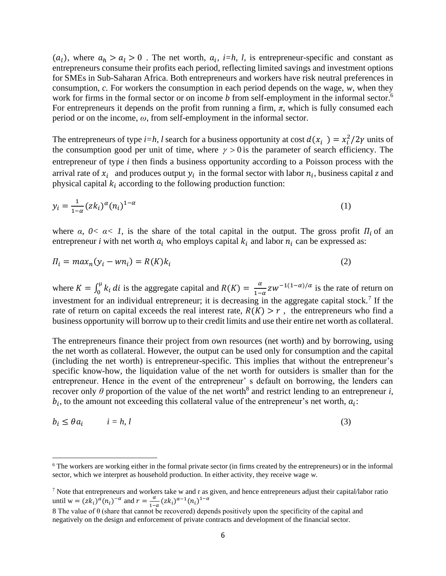$(a_l)$ , where  $a_h > a_l > 0$ . The net worth,  $a_i$ , i=h, l, is entrepreneur-specific and constant as entrepreneurs consume their profits each period, reflecting limited savings and investment options for SMEs in Sub-Saharan Africa. Both entrepreneurs and workers have risk neutral preferences in consumption, *c.* For workers the consumption in each period depends on the wage, *w*, when they work for firms in the formal sector or on income *b* from self-employment in the informal sector.<sup>6</sup> For entrepreneurs it depends on the profit from running a firm,  $\pi$ , which is fully consumed each period or on the income, *ω*, from self-employment in the informal sector.

The entrepreneurs of type *i*=*h*, *l* search for a business opportunity at cost  $d(x_i) = x_i^2/2\gamma$  units of the consumption good per unit of time, where  $\gamma > 0$  is the parameter of search efficiency. The entrepreneur of type *i* then finds a business opportunity according to a Poisson process with the arrival rate of  $x_i$  and produces output  $y_i$  in the formal sector with labor  $n_i$ , business capital *z* and physical capital  $k_i$  according to the following production function:

$$
y_i = \frac{1}{1-\alpha} (zk_i)^{\alpha} (n_i)^{1-\alpha} \tag{1}
$$

where  $\alpha$ ,  $0 < \alpha < 1$ , is the share of the total capital in the output. The gross profit  $\Pi_i$  of an entrepreneur *i* with net worth  $a_i$  who employs capital  $k_i$  and labor  $n_i$  can be expressed as:

$$
\Pi_i = \max_n (y_i - w n_i) = R(K) k_i \tag{2}
$$

where  $K = \int_0^{\mu} k_i$  $\int_0^{\mu} k_i dt$  is the aggregate capital and  $R(K) = \frac{\alpha}{1-\alpha}$  $\frac{\alpha}{1-\alpha}zw^{-1(1-\alpha)/\alpha}$  is the rate of return on investment for an individual entrepreneur; it is decreasing in the aggregate capital stock.<sup>7</sup> If the rate of return on capital exceeds the real interest rate,  $R(K) > r$ , the entrepreneurs who find a business opportunity will borrow up to their credit limits and use their entire net worth as collateral.

The entrepreneurs finance their project from own resources (net worth) and by borrowing, using the net worth as collateral. However, the output can be used only for consumption and the capital (including the net worth) is entrepreneur-specific. This implies that without the entrepreneur's specific know-how, the liquidation value of the net worth for outsiders is smaller than for the entrepreneur. Hence in the event of the entrepreneur' s default on borrowing, the lenders can recover only  $\theta$  proportion of the value of the net worth<sup>8</sup> and restrict lending to an entrepreneur *i*,  $b_i$ , to the amount not exceeding this collateral value of the entrepreneur's net worth,  $a_i$ :

$$
b_i \leq \theta a_i \qquad i = h, l \tag{3}
$$

<sup>&</sup>lt;sup>6</sup> The workers are working either in the formal private sector (in firms created by the entrepreneurs) or in the informal sector, which we interpret as household production. In either activity, they receive wage *w*.

 $7$  Note that entrepreneurs and workers take w and r as given, and hence entrepreneurs adjust their capital/labor ratio until w =  $(zk_i)^{\alpha} (n_i)^{-\alpha}$  and  $r = \frac{\alpha}{1-\alpha}$  $\frac{\alpha}{1-\alpha}(zk_i)^{\alpha-1}(n_i)^{1-\alpha}$ 

<sup>8</sup> The value of θ (share that cannot be recovered) depends positively upon the specificity of the capital and negatively on the design and enforcement of private contracts and development of the financial sector.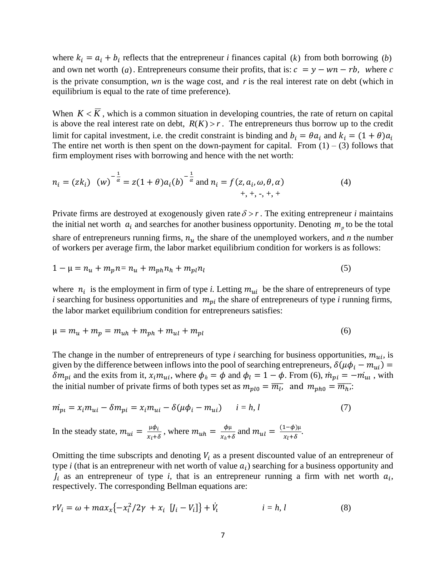where  $k_i = a_i + b_i$  reflects that the entrepreneur *i* finances capital (*k*) from both borrowing (*b*) and own net worth (*a*). Entrepreneurs consume their profits, that is:  $c = y - w n - rb$ , where *c* is the private consumption, *wn* is the wage cost, and *r* is the real interest rate on debt (which in equilibrium is equal to the rate of time preference).

When  $K < K$ , which is a common situation in developing countries, the rate of return on capital is above the real interest rate on debt,  $R(K) > r$ . The entrepreneurs thus borrow up to the credit limit for capital investment, i.e. the credit constraint is binding and  $b_i = \theta a_i$  and  $k_i = (1 + \theta) a_i$ The entire net worth is then spent on the down-payment for capital. From  $(1) - (3)$  follows that firm employment rises with borrowing and hence with the net worth:

$$
n_i = (zk_i) (w)^{-\frac{1}{\alpha}} = z(1+\theta)a_i(b)^{-\frac{1}{\alpha}} \text{ and } n_i = f(z, a_i, \omega, \theta, \alpha) + z + z + z + t \tag{4}
$$

Private firms are destroyed at exogenously given rate  $\delta > r$ . The exiting entrepreneur *i* maintains the initial net worth  $a_i$  and searches for another business opportunity. Denoting  $m_p$  to be the total share of entrepreneurs running firms,  $n_u$  the share of the unemployed workers, and *n* the number of workers per average firm, the labor market equilibrium condition for workers is as follows:

$$
1 - \mu = n_u + m_p n = n_u + m_{ph} n_h + m_{pl} n_l \tag{5}
$$

where  $n_i$  is the employment in firm of type *i*. Letting  $m_{ui}$  be the share of entrepreneurs of type *i* searching for business opportunities and  $m_{ni}$  the share of entrepreneurs of type *i* running firms, the labor market equilibrium condition for entrepreneurs satisfies:

$$
\mu = m_u + m_p = m_{uh} + m_{ph} + m_{ul} + m_{pl} \tag{6}
$$

The change in the number of entrepreneurs of type *i* searching for business opportunities,  $m_{ui}$ , is given by the difference between inflows into the pool of searching entrepreneurs,  $\delta(\mu \phi_i - m_{ui}) =$  $\delta m_{pi}$  and the exits from it,  $x_i m_{ui}$ , where  $\phi_h = \phi$  and  $\phi_l = 1 - \phi$ . From (6),  $\dot{m}_{pi} = -\dot{m}_{ui}$ , with the initial number of private firms of both types set as  $m_{pl0} = \overline{m_l}$ , and  $m_{ph0} = \overline{m_h}$ .

$$
m_{pl} = x_i m_{ui} - \delta m_{pl} = x_i m_{ui} - \delta(\mu \phi_i - m_{ui}) \qquad i = h, l \tag{7}
$$

In the steady state,  $m_{ui} = \frac{\mu \phi_i}{r+u}$  $\frac{\mu \phi_i}{x_i + \delta}$ , where  $m_{uh} = \frac{\phi_\mu}{x_h + \epsilon}$  $\frac{\phi_{\mu}}{x_h+\delta}$  and  $m_{ul} = \frac{(1-\phi)_{\mu}}{x_l+\delta}$  $\frac{1-\varphi/\mu}{x_l+\delta}$ .

Omitting the time subscripts and denoting  $V_i$  as a present discounted value of an entrepreneur of type  $i$  (that is an entrepreneur with net worth of value  $a_i$ ) searching for a business opportunity and  $J_i$  as an entrepreneur of type *i*, that is an entrepreneur running a firm with net worth  $a_i$ , respectively. The corresponding Bellman equations are:

$$
rV_i = \omega + \max_x \{-x_i^2/2\gamma + x_i \left[ J_i - V_i \right] \} + V_i \qquad i = h, l \qquad (8)
$$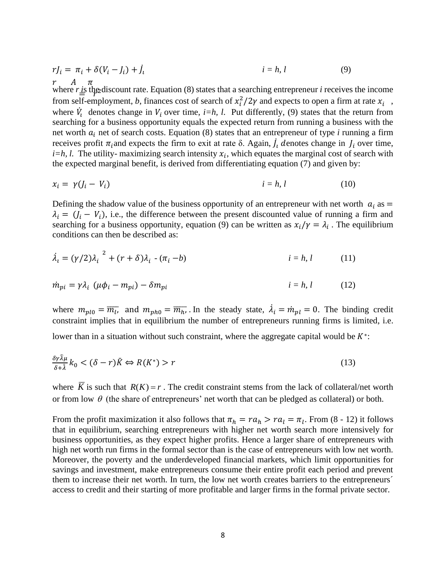$$
rJ_i = \pi_i + \delta(V_i - J_i) + \dot{J}_i \qquad i = h, l \qquad (9)
$$

 $\frac{E}{1}$ where  $r$  is the discount rate. Equation (8) states that a searching entrepreneur *i* receives the income from self-employment, *b*, finances cost of search of  $x_i^2/2\gamma$  and expects to open a firm at rate  $x_i$ , where  $\dot{V}_l$  denotes change in  $V_i$  over time, *i*=*h*, *l*. Put differently, (9) states that the return from ֧֧֧֦֧֚֝֝֝֟֓<u>֚֓</u> searching for a business opportunity equals the expected return from running a business with the net worth  $a_i$  net of search costs. Equation (8) states that an entrepreneur of type *i* running a firm receives profit  $\pi_i$  and expects the firm to exit at rate  $\delta$ . Again,  $j_i$  denotes change in  $j_i$  over time,  $i=h, l$ . The utility-maximizing search intensity  $x_i$ , which equates the marginal cost of search with the expected marginal benefit, is derived from differentiating equation (7) and given by:

$$
x_i = \gamma (J_i - V_i) \tag{10}
$$

Defining the shadow value of the business opportunity of an entrepreneur with net worth  $a_i$  as  $=$  $\lambda_i = (J_i - V_i)$ , i.e., the difference between the present discounted value of running a firm and searching for a business opportunity, equation (9) can be written as  $x_i / \gamma = \lambda_i$ . The equilibrium conditions can then be described as:

$$
\lambda_i = (\gamma/2)\lambda_i^{2} + (r+\delta)\lambda_i \cdot (\pi_i - b) \qquad i = h, l \qquad (11)
$$

$$
\dot{m}_{pi} = \gamma \lambda_i \ (\mu \phi_i - m_{pi}) - \delta m_{pi} \qquad i = h, l \qquad (12)
$$

where  $m_{pl0} = \overline{m_l}$ , and  $m_{ph0} = \overline{m_h}$ . In the steady state,  $\lambda_i = m_{pl} = 0$ . The binding credit constraint implies that in equilibrium the number of entrepreneurs running firms is limited, i.e.

lower than in a situation without such constraint, where the aggregate capital would be  $K^*$ :

$$
\frac{\delta r \hat{\lambda}\mu}{\delta + \hat{\lambda}} k_0 < (\delta - r)\bar{K} \Leftrightarrow R(K^*) > r \tag{13}
$$

where K is such that  $R(K) = r$ . The credit constraint stems from the lack of collateral/net worth or from low  $\theta$  (the share of entrepreneurs' net worth that can be pledged as collateral) or both.

From the profit maximization it also follows that  $\pi_h = r a_h > r a_l = \pi_l$ . From (8 - 12) it follows that in equilibrium, searching entrepreneurs with higher net worth search more intensively for business opportunities, as they expect higher profits. Hence a larger share of entrepreneurs with high net worth run firms in the formal sector than is the case of entrepreneurs with low net worth. Moreover, the poverty and the underdeveloped financial markets, which limit opportunities for savings and investment, make entrepreneurs consume their entire profit each period and prevent them to increase their net worth. In turn, the low net worth creates barriers to the entrepreneurs´ access to credit and their starting of more profitable and larger firms in the formal private sector.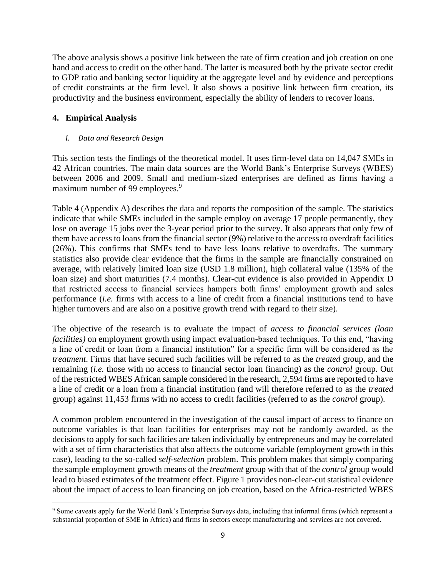The above analysis shows a positive link between the rate of firm creation and job creation on one hand and access to credit on the other hand. The latter is measured both by the private sector credit to GDP ratio and banking sector liquidity at the aggregate level and by evidence and perceptions of credit constraints at the firm level. It also shows a positive link between firm creation, its productivity and the business environment, especially the ability of lenders to recover loans.

### **4. Empirical Analysis**

#### *i. Data and Research Design*

This section tests the findings of the theoretical model. It uses firm-level data on 14,047 SMEs in 42 African countries. The main data sources are the World Bank's Enterprise Surveys (WBES) between 2006 and 2009. Small and medium-sized enterprises are defined as firms having a maximum number of 99 employees.<sup>9</sup>

Table 4 (Appendix A) describes the data and reports the composition of the sample. The statistics indicate that while SMEs included in the sample employ on average 17 people permanently, they lose on average 15 jobs over the 3-year period prior to the survey. It also appears that only few of them have access to loans from the financial sector (9%) relative to the access to overdraft facilities (26%). This confirms that SMEs tend to have less loans relative to overdrafts. The summary statistics also provide clear evidence that the firms in the sample are financially constrained on average, with relatively limited loan size (USD 1.8 million), high collateral value (135% of the loan size) and short maturities (7.4 months). Clear-cut evidence is also provided in Appendix D that restricted access to financial services hampers both firms' employment growth and sales performance (*i.e.* firms with access to a line of credit from a financial institutions tend to have higher turnovers and are also on a positive growth trend with regard to their size).

The objective of the research is to evaluate the impact of *access to financial services (loan facilities)* on employment growth using impact evaluation-based techniques. To this end, "having a line of credit or loan from a financial institution" for a specific firm will be considered as the *treatment*. Firms that have secured such facilities will be referred to as the *treated* group, and the remaining (*i.e.* those with no access to financial sector loan financing) as the *control* group. Out of the restricted WBES African sample considered in the research, 2,594 firms are reported to have a line of credit or a loan from a financial institution (and will therefore referred to as the *treated* group) against 11,453 firms with no access to credit facilities (referred to as the *control* group).

A common problem encountered in the investigation of the causal impact of access to finance on outcome variables is that loan facilities for enterprises may not be randomly awarded, as the decisions to apply for such facilities are taken individually by entrepreneurs and may be correlated with a set of firm characteristics that also affects the outcome variable (employment growth in this case), leading to the so-called *self-selection* problem. This problem makes that simply comparing the sample employment growth means of the *treatment* group with that of the *control* group would lead to biased estimates of the treatment effect. Figure 1 provides non-clear-cut statistical evidence about the impact of access to loan financing on job creation, based on the Africa-restricted WBES

<sup>&</sup>lt;sup>9</sup> Some caveats apply for the World Bank's Enterprise Surveys data, including that informal firms (which represent a substantial proportion of SME in Africa) and firms in sectors except manufacturing and services are not covered.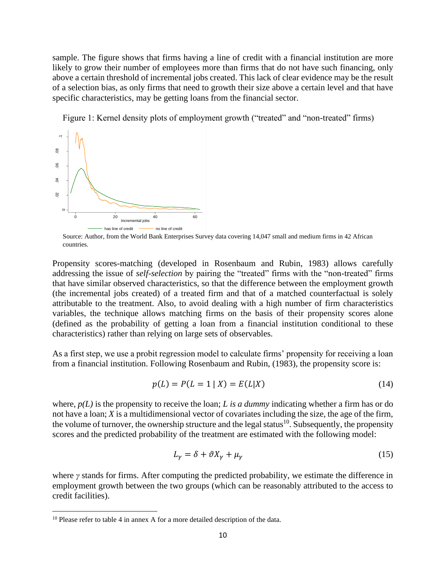sample. The figure shows that firms having a line of credit with a financial institution are more likely to grow their number of employees more than firms that do not have such financing, only above a certain threshold of incremental jobs created. This lack of clear evidence may be the result of a selection bias, as only firms that need to growth their size above a certain level and that have specific characteristics, may be getting loans from the financial sector.

Figure 1: Kernel density plots of employment growth ("treated" and "non-treated" firms)



countries.

Propensity scores-matching (developed in Rosenbaum and Rubin, 1983) allows carefully addressing the issue of *self-selection* by pairing the "treated" firms with the "non-treated" firms that have similar observed characteristics, so that the difference between the employment growth (the incremental jobs created) of a treated firm and that of a matched counterfactual is solely attributable to the treatment. Also, to avoid dealing with a high number of firm characteristics variables, the technique allows matching firms on the basis of their propensity scores alone (defined as the probability of getting a loan from a financial institution conditional to these characteristics) rather than relying on large sets of observables.

As a first step, we use a probit regression model to calculate firms' propensity for receiving a loan from a financial institution. Following Rosenbaum and Rubin, (1983), the propensity score is:

$$
p(L) = P(L = 1 | X) = E(L|X)
$$
\n(14)

where,  $p(L)$  is the propensity to receive the loan; *L* is a dummy indicating whether a firm has or do not have a loan; *X* is a multidimensional vector of covariates including the size, the age of the firm, the volume of turnover, the ownership structure and the legal status<sup>10</sup>. Subsequently, the propensity scores and the predicted probability of the treatment are estimated with the following model:

$$
L_{\gamma} = \delta + \vartheta X_{\gamma} + \mu_{\gamma} \tag{15}
$$

where *γ* stands for firms. After computing the predicted probability, we estimate the difference in employment growth between the two groups (which can be reasonably attributed to the access to credit facilities).

<sup>&</sup>lt;sup>10</sup> Please refer to table 4 in annex A for a more detailed description of the data.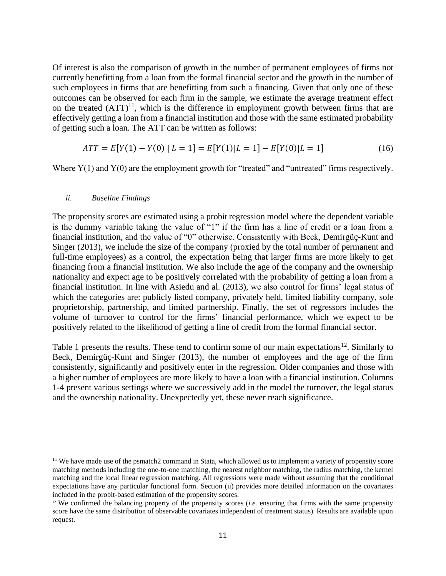Of interest is also the comparison of growth in the number of permanent employees of firms not currently benefitting from a loan from the formal financial sector and the growth in the number of such employees in firms that are benefitting from such a financing. Given that only one of these outcomes can be observed for each firm in the sample, we estimate the average treatment effect on the treated  $(ATT)^{11}$ , which is the difference in employment growth between firms that are effectively getting a loan from a financial institution and those with the same estimated probability of getting such a loan. The ATT can be written as follows:

$$
ATT = E[Y(1) - Y(0) | L = 1] = E[Y(1)|L = 1] - E[Y(0)|L = 1]
$$
\n(16)

Where Y(1) and Y(0) are the employment growth for "treated" and "untreated" firms respectively.

#### *ii. Baseline Findings*

The propensity scores are estimated using a probit regression model where the dependent variable is the dummy variable taking the value of "1" if the firm has a line of credit or a loan from a financial institution, and the value of "0" otherwise. Consistently with Beck, Demirgüç-Kunt and Singer (2013), we include the size of the company (proxied by the total number of permanent and full-time employees) as a control, the expectation being that larger firms are more likely to get financing from a financial institution. We also include the age of the company and the ownership nationality and expect age to be positively correlated with the probability of getting a loan from a financial institution. In line with Asiedu and al. (2013), we also control for firms' legal status of which the categories are: publicly listed company, privately held, limited liability company, sole proprietorship, partnership, and limited partnership. Finally, the set of regressors includes the volume of turnover to control for the firms' financial performance, which we expect to be positively related to the likelihood of getting a line of credit from the formal financial sector.

Table 1 presents the results. These tend to confirm some of our main expectations<sup>12</sup>. Similarly to Beck, Demirgüç-Kunt and Singer (2013), the number of employees and the age of the firm consistently, significantly and positively enter in the regression. Older companies and those with a higher number of employees are more likely to have a loan with a financial institution. Columns 1-4 present various settings where we successively add in the model the turnover, the legal status and the ownership nationality. Unexpectedly yet, these never reach significance.

<sup>&</sup>lt;sup>11</sup> We have made use of the psmatch2 command in Stata, which allowed us to implement a variety of propensity score matching methods including the one-to-one matching, the nearest neighbor matching, the radius matching, the kernel matching and the local linear regression matching. All regressions were made without assuming that the conditional expectations have any particular functional form. Section (ii) provides more detailed information on the covariates included in the probit-based estimation of the propensity scores.

<sup>&</sup>lt;sup>12</sup> We confirmed the balancing property of the propensity scores *(i.e.* ensuring that firms with the same propensity score have the same distribution of observable covariates independent of treatment status). Results are available upon request.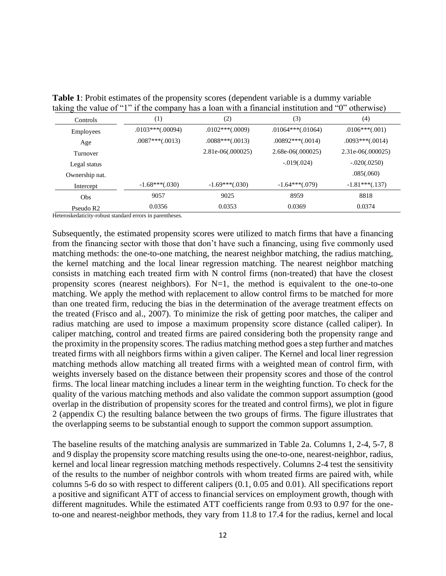| (1)                    | (2)                   | (3)                    | (4)                   |
|------------------------|-----------------------|------------------------|-----------------------|
| $.0103$ *** $(.00094)$ | $.0102$ *** $(.0009)$ | $.01064***(.01064)$    | $.0106***(.001)$      |
| $.0087$ *** $(.0013)$  | $.0088$ *** $(.0013)$ | $.00892$ *** $(.0014)$ | $.0093$ *** $(.0014)$ |
|                        | 2.81e-06(.000025)     | $2.68e-06(.000025)$    | 2.31e-06(.000025)     |
|                        |                       | $-0.019(0.024)$        | $-.020(.0250)$        |
|                        |                       |                        | .085(.060)            |
| $-1.68***(030)$        | $-1.69***(030)$       | $-1.64***(079)$        | $-1.81***(.137)$      |
| 9057                   | 9025                  | 8959                   | 8818                  |
| 0.0356                 | 0.0353                | 0.0369                 | 0.0374                |
|                        |                       |                        |                       |

**Table 1**: Probit estimates of the propensity scores (dependent variable is a dummy variable taking the value of "1" if the company has a loan with a financial institution and "0" otherwise)

Heteroskedaticity-robust standard errors in parentheses.

Subsequently, the estimated propensity scores were utilized to match firms that have a financing from the financing sector with those that don't have such a financing, using five commonly used matching methods: the one-to-one matching, the nearest neighbor matching, the radius matching, the kernel matching and the local linear regression matching. The nearest neighbor matching consists in matching each treated firm with N control firms (non-treated) that have the closest propensity scores (nearest neighbors). For  $N=1$ , the method is equivalent to the one-to-one matching. We apply the method with replacement to allow control firms to be matched for more than one treated firm, reducing the bias in the determination of the average treatment effects on the treated (Frisco and al., 2007). To minimize the risk of getting poor matches, the caliper and radius matching are used to impose a maximum propensity score distance (called caliper). In caliper matching, control and treated firms are paired considering both the propensity range and the proximity in the propensity scores. The radius matching method goes a step further and matches treated firms with all neighbors firms within a given caliper. The Kernel and local liner regression matching methods allow matching all treated firms with a weighted mean of control firm, with weights inversely based on the distance between their propensity scores and those of the control firms. The local linear matching includes a linear term in the weighting function. To check for the quality of the various matching methods and also validate the common support assumption (good overlap in the distribution of propensity scores for the treated and control firms), we plot in figure 2 (appendix C) the resulting balance between the two groups of firms. The figure illustrates that the overlapping seems to be substantial enough to support the common support assumption.

The baseline results of the matching analysis are summarized in Table 2a. Columns 1, 2-4, 5-7, 8 and 9 display the propensity score matching results using the one-to-one, nearest-neighbor, radius, kernel and local linear regression matching methods respectively. Columns 2-4 test the sensitivity of the results to the number of neighbor controls with whom treated firms are paired with, while columns 5-6 do so with respect to different calipers (0.1, 0.05 and 0.01). All specifications report a positive and significant ATT of access to financial services on employment growth, though with different magnitudes. While the estimated ATT coefficients range from 0.93 to 0.97 for the oneto-one and nearest-neighbor methods, they vary from 11.8 to 17.4 for the radius, kernel and local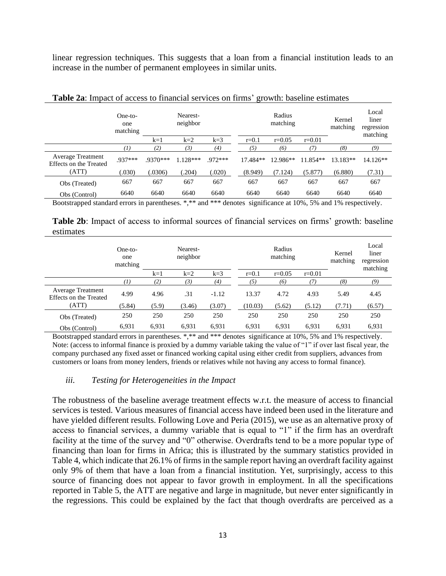linear regression techniques. This suggests that a loan from a financial institution leads to an increase in the number of permanent employees in similar units.

|                                                    | $One-to-$<br>one<br>matching |          | Nearest-<br>neighbor |                                  |                | Radius<br>matching |                                                                                                                                                                                                                                                                                                                                                                                      | Kernel<br>matching | Local<br>liner<br>regression<br>matching |
|----------------------------------------------------|------------------------------|----------|----------------------|----------------------------------|----------------|--------------------|--------------------------------------------------------------------------------------------------------------------------------------------------------------------------------------------------------------------------------------------------------------------------------------------------------------------------------------------------------------------------------------|--------------------|------------------------------------------|
|                                                    |                              | $k=1$    | $k=2$                | $k=3$                            | $r = 0.1$      | $r = 0.05$         | $r = 0.01$                                                                                                                                                                                                                                                                                                                                                                           |                    |                                          |
|                                                    | $\scriptstyle{(1)}$          | (2)      | (3)                  | (4)                              | (5,            | (6)                | (7)                                                                                                                                                                                                                                                                                                                                                                                  | (8)                | (9)                                      |
| <b>Average Treatment</b><br>Effects on the Treated | .937***                      | .9370*** | $1.128***$           | $.972***$                        | 17.484**       | 12.986**           | $11.854**$                                                                                                                                                                                                                                                                                                                                                                           | 13.183**           | 14.126**                                 |
| (ATT)                                              | (.030)                       | (.0306)  | (.204)               | (.020)                           | (8.949)        | (7.124)            | (5.877)                                                                                                                                                                                                                                                                                                                                                                              | (6.880)            | (7.31)                                   |
| Obs (Treated)                                      | 667                          | 667      | 667                  | 667                              | 667            | 667                | 667                                                                                                                                                                                                                                                                                                                                                                                  | 667                | 667                                      |
| Obs (Control)                                      | 6640                         | 6640     | 6640                 | 6640                             | 6640           | 6640               | 6640                                                                                                                                                                                                                                                                                                                                                                                 | 6640               | 6640                                     |
| $\sim$<br>$\sim$ $\sim$                            | $\mathbf{r}$                 | $\sim$   | and a state of the   | $-4$ , $-1$ , $-1$ , $-1$ , $-4$ | $\cdot$ $\sim$ |                    | $\overline{a}$ $\overline{a}$ $\overline{a}$ $\overline{a}$ $\overline{a}$ $\overline{a}$ $\overline{a}$ $\overline{a}$ $\overline{a}$ $\overline{a}$ $\overline{a}$ $\overline{a}$ $\overline{a}$ $\overline{a}$ $\overline{a}$ $\overline{a}$ $\overline{a}$ $\overline{a}$ $\overline{a}$ $\overline{a}$ $\overline{a}$ $\overline{a}$ $\overline{a}$ $\overline{a}$ $\overline{$ | $\sim$ $\sim$      | $\sim$                                   |

**Table 2a**: Impact of access to financial services on firms' growth: baseline estimates

Bootstrapped standard errors in parentheses. \*,\*\* and \*\*\* denotes significance at 10%, 5% and 1% respectively.

**Table 2b**: Impact of access to informal sources of financial services on firms' growth: baseline estimates

|                                                    | $One-to-$<br>one<br>matching | Nearest-<br>neighbor |        | Radius<br>matching |           |            | Kernel<br>matching | Local<br>liner<br>regression<br>matching |        |
|----------------------------------------------------|------------------------------|----------------------|--------|--------------------|-----------|------------|--------------------|------------------------------------------|--------|
|                                                    |                              | $k=1$                | $k=2$  | $k=3$              | $r = 0.1$ | $r = 0.05$ | $r = 0.01$         |                                          |        |
|                                                    | $\left(1\right)$             | (2)                  | (3)    | (4)                | (5)       | (6)        | (7)                | (8)                                      | (9)    |
| <b>Average Treatment</b><br>Effects on the Treated | 4.99                         | 4.96                 | .31    | $-1.12$            | 13.37     | 4.72       | 4.93               | 5.49                                     | 4.45   |
| (ATT)                                              | (5.84)                       | (5.9)                | (3.46) | (3.07)             | (10.03)   | (5.62)     | (5.12)             | (7.71)                                   | (6.57) |
| Obs (Treated)                                      | 250                          | 250                  | 250    | 250                | 250       | 250        | 250                | 250                                      | 250    |
| Obs (Control)                                      | 6,931                        | 6,931                | 6,931  | 6,931              | 6,931     | 6,931      | 6,931              | 6,931                                    | 6,931  |

Bootstrapped standard errors in parentheses. \*,\*\* and \*\*\* denotes significance at 10%, 5% and 1% respectively. Note: (access to informal finance is proxied by a dummy variable taking the value of "1" if over last fiscal year, the company purchased any fixed asset or financed working capital using either credit from suppliers, advances from customers or loans from money lenders, friends or relatives while not having any access to formal finance).

#### *iii. Testing for Heterogeneities in the Impact*

The robustness of the baseline average treatment effects w.r.t. the measure of access to financial services is tested. Various measures of financial access have indeed been used in the literature and have yielded different results. Following Love and Peria (2015), we use as an alternative proxy of access to financial services, a dummy variable that is equal to "1" if the firm has an overdraft facility at the time of the survey and "0" otherwise. Overdrafts tend to be a more popular type of financing than loan for firms in Africa; this is illustrated by the summary statistics provided in Table 4, which indicate that 26.1% of firms in the sample report having an overdraft facility against only 9% of them that have a loan from a financial institution. Yet, surprisingly, access to this source of financing does not appear to favor growth in employment. In all the specifications reported in Table 5, the ATT are negative and large in magnitude, but never enter significantly in the regressions. This could be explained by the fact that though overdrafts are perceived as a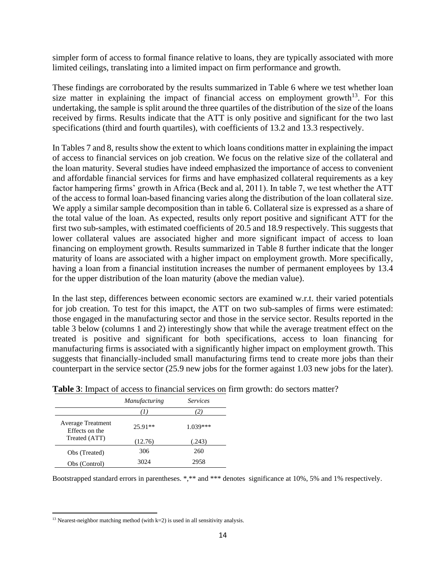simpler form of access to formal finance relative to loans, they are typically associated with more limited ceilings, translating into a limited impact on firm performance and growth.

These findings are corroborated by the results summarized in Table 6 where we test whether loan size matter in explaining the impact of financial access on employment growth<sup>13</sup>. For this undertaking, the sample is split around the three quartiles of the distribution of the size of the loans received by firms. Results indicate that the ATT is only positive and significant for the two last specifications (third and fourth quartiles), with coefficients of 13.2 and 13.3 respectively.

In Tables 7 and 8, results show the extent to which loans conditions matter in explaining the impact of access to financial services on job creation. We focus on the relative size of the collateral and the loan maturity. Several studies have indeed emphasized the importance of access to convenient and affordable financial services for firms and have emphasized collateral requirements as a key factor hampering firms' growth in Africa (Beck and al, 2011). In table 7, we test whether the ATT of the access to formal loan-based financing varies along the distribution of the loan collateral size. We apply a similar sample decomposition than in table 6. Collateral size is expressed as a share of the total value of the loan. As expected, results only report positive and significant ATT for the first two sub-samples, with estimated coefficients of 20.5 and 18.9 respectively. This suggests that lower collateral values are associated higher and more significant impact of access to loan financing on employment growth. Results summarized in Table 8 further indicate that the longer maturity of loans are associated with a higher impact on employment growth. More specifically, having a loan from a financial institution increases the number of permanent employees by 13.4 for the upper distribution of the loan maturity (above the median value).

In the last step, differences between economic sectors are examined w.r.t. their varied potentials for job creation. To test for this imapct, the ATT on two sub-samples of firms were estimated: those engaged in the manufacturing sector and those in the service sector. Results reported in the table 3 below (columns 1 and 2) interestingly show that while the average treatment effect on the treated is positive and significant for both specifications, access to loan financing for manufacturing firms is associated with a significantly higher impact on employment growth. This suggests that financially-included small manufacturing firms tend to create more jobs than their counterpart in the service sector (25.9 new jobs for the former against 1.03 new jobs for the later).

|                                            | <i>Manufacturing</i> | <i>Services</i> |
|--------------------------------------------|----------------------|-----------------|
|                                            |                      |                 |
| <b>Average Treatment</b><br>Effects on the | $25.91**$            | 1.039***        |
| Treated (ATT)                              | (12.76)              | (.243)          |
| Obs (Treated)                              | 306                  | 260             |
| Obs (Control)                              | 3024                 | 2958            |

**Table 3**: Impact of access to financial services on firm growth: do sectors matter?

Bootstrapped standard errors in parentheses. \*,\*\* and \*\*\* denotes significance at 10%, 5% and 1% respectively.

<sup>&</sup>lt;sup>13</sup> Nearest-neighbor matching method (with  $k=2$ ) is used in all sensitivity analysis.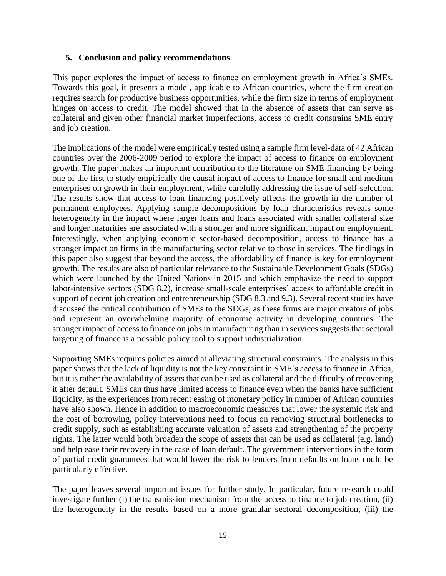#### **5. Conclusion and policy recommendations**

This paper explores the impact of access to finance on employment growth in Africa's SMEs. Towards this goal, it presents a model, applicable to African countries, where the firm creation requires search for productive business opportunities, while the firm size in terms of employment hinges on access to credit. The model showed that in the absence of assets that can serve as collateral and given other financial market imperfections, access to credit constrains SME entry and job creation.

The implications of the model were empirically tested using a sample firm level-data of 42 African countries over the 2006-2009 period to explore the impact of access to finance on employment growth. The paper makes an important contribution to the literature on SME financing by being one of the first to study empirically the causal impact of access to finance for small and medium enterprises on growth in their employment, while carefully addressing the issue of self-selection. The results show that access to loan financing positively affects the growth in the number of permanent employees. Applying sample decompositions by loan characteristics reveals some heterogeneity in the impact where larger loans and loans associated with smaller collateral size and longer maturities are associated with a stronger and more significant impact on employment. Interestingly, when applying economic sector-based decomposition, access to finance has a stronger impact on firms in the manufacturing sector relative to those in services. The findings in this paper also suggest that beyond the access, the affordability of finance is key for employment growth. The results are also of particular relevance to the Sustainable Development Goals (SDGs) which were launched by the United Nations in 2015 and which emphasize the need to support labor-intensive sectors (SDG 8.2), increase small-scale enterprises' access to affordable credit in support of decent job creation and entrepreneurship (SDG 8.3 and 9.3). Several recent studies have discussed the critical contribution of SMEs to the SDGs, as these firms are major creators of jobs and represent an overwhelming majority of economic activity in developing countries. The stronger impact of access to finance on jobs in manufacturing than in services suggests that sectoral targeting of finance is a possible policy tool to support industrialization.

Supporting SMEs requires policies aimed at alleviating structural constraints. The analysis in this paper shows that the lack of liquidity is not the key constraint in SME's access to finance in Africa, but it is rather the availability of assets that can be used as collateral and the difficulty of recovering it after default. SMEs can thus have limited access to finance even when the banks have sufficient liquidity, as the experiences from recent easing of monetary policy in number of African countries have also shown. Hence in addition to macroeconomic measures that lower the systemic risk and the cost of borrowing, policy interventions need to focus on removing structural bottlenecks to credit supply, such as establishing accurate valuation of assets and strengthening of the property rights. The latter would both broaden the scope of assets that can be used as collateral (e.g. land) and help ease their recovery in the case of loan default. The government interventions in the form of partial credit guarantees that would lower the risk to lenders from defaults on loans could be particularly effective.

The paper leaves several important issues for further study. In particular, future research could investigate further (i) the transmission mechanism from the access to finance to job creation, (ii) the heterogeneity in the results based on a more granular sectoral decomposition, (iii) the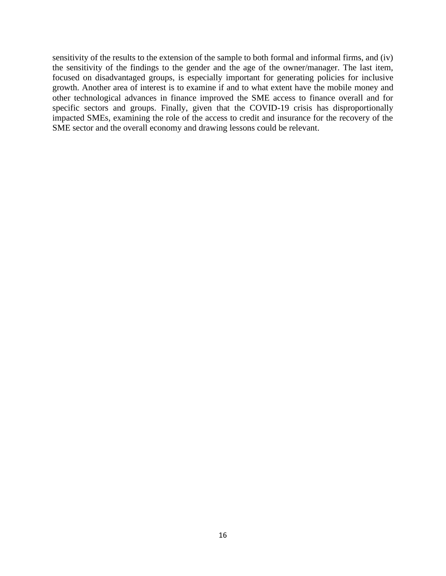sensitivity of the results to the extension of the sample to both formal and informal firms, and (iv) the sensitivity of the findings to the gender and the age of the owner/manager. The last item, focused on disadvantaged groups, is especially important for generating policies for inclusive growth. Another area of interest is to examine if and to what extent have the mobile money and other technological advances in finance improved the SME access to finance overall and for specific sectors and groups. Finally, given that the COVID-19 crisis has disproportionally impacted SMEs, examining the role of the access to credit and insurance for the recovery of the SME sector and the overall economy and drawing lessons could be relevant.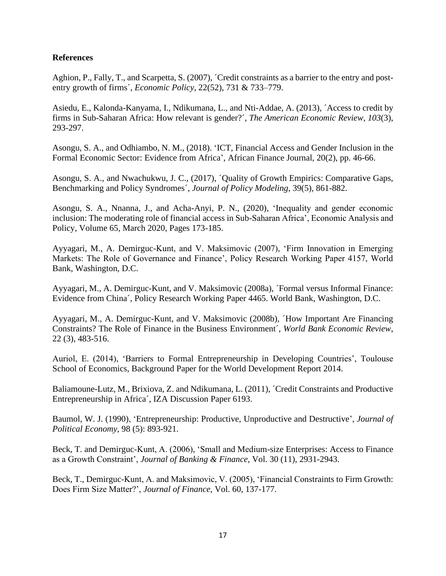#### **References**

Aghion, P., Fally, T., and Scarpetta, S. (2007), ´Credit constraints as a barrier to the entry and postentry growth of firms´, *Economic Policy*, 22(52), 731 & 733–779.

Asiedu, E., Kalonda-Kanyama, I., Ndikumana, L., and Nti-Addae, A. (2013), ´Access to credit by firms in Sub-Saharan Africa: How relevant is gender?´, *The American Economic Review*, *103*(3), 293-297.

Asongu, S. A., and Odhiambo, N. M., (2018). 'ICT, Financial Access and Gender Inclusion in the Formal Economic Sector: Evidence from Africa', African Finance Journal, 20(2), pp. 46-66.

Asongu, S. A., and Nwachukwu, J. C., (2017), ´Quality of Growth Empirics: Comparative Gaps, Benchmarking and Policy Syndromes´, *Journal of Policy Modeling*, 39(5), 861-882.

Asongu, S. A., Nnanna, J., and Acha-Anyi, P. N., (2020), 'Inequality and gender economic inclusion: The moderating role of financial access in Sub-Saharan Africa', Economic Analysis and Policy, Volume 65, March 2020, Pages 173-185.

Ayyagari, M., A. Demirguc-Kunt, and V. Maksimovic (2007), 'Firm Innovation in Emerging Markets: The Role of Governance and Finance', Policy Research Working Paper 4157, World Bank, Washington, D.C.

Ayyagari, M., A. Demirguc-Kunt, and V. Maksimovic (2008a), ´Formal versus Informal Finance: Evidence from China´, Policy Research Working Paper 4465. World Bank, Washington, D.C.

Ayyagari, M., A. Demirguc-Kunt, and V. Maksimovic (2008b), ´How Important Are Financing Constraints? The Role of Finance in the Business Environment´, *World Bank Economic Review*, 22 (3), 483-516.

Auriol, E. (2014), 'Barriers to Formal Entrepreneurship in Developing Countries', Toulouse School of Economics, Background Paper for the World Development Report 2014.

Baliamoune-Lutz, M., Brixiova, Z. and Ndikumana, L. (2011), ´Credit Constraints and Productive Entrepreneurship in Africa´, IZA Discussion Paper 6193.

Baumol, W. J. (1990), 'Entrepreneurship: Productive, Unproductive and Destructive', *Journal of Political Economy*, 98 (5): 893-921.

Beck, T. and Demirguc-Kunt, A. (2006), 'Small and Medium-size Enterprises: Access to Finance as a Growth Constraint', *Journal of Banking & Finance*, Vol. 30 (11), 2931-2943.

Beck, T., Demirguc-Kunt, A. and Maksimovic, V. (2005), 'Financial Constraints to Firm Growth: Does Firm Size Matter?', *Journal of Finance*, Vol. 60, 137-177.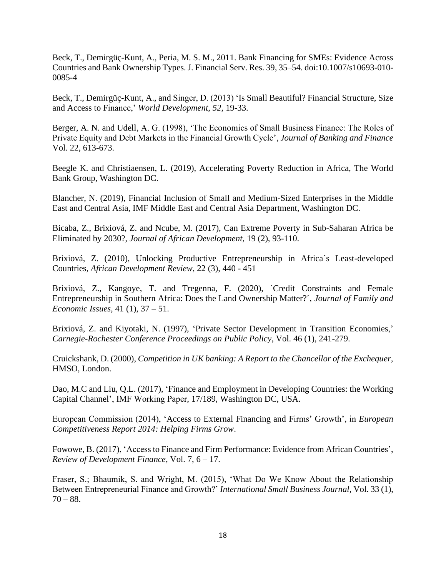Beck, T., Demirgüç-Kunt, A., Peria, M. S. M., 2011. Bank Financing for SMEs: Evidence Across Countries and Bank Ownership Types. J. Financial Serv. Res. 39, 35–54. doi:10.1007/s10693-010- 0085-4

Beck, T., Demirgüç-Kunt, A., and Singer, D. (2013) 'Is Small Beautiful? Financial Structure, Size and Access to Finance,' *World Development*, *52*, 19-33.

Berger, A. N. and Udell, A. G. (1998), 'The Economics of Small Business Finance: The Roles of Private Equity and Debt Markets in the Financial Growth Cycle', *Journal of Banking and Finance* Vol. 22, 613-673.

Beegle K. and Christiaensen, L. (2019), Accelerating Poverty Reduction in Africa, The World Bank Group, Washington DC.

Blancher, N. (2019), Financial Inclusion of Small and Medium-Sized Enterprises in the Middle East and Central Asia, IMF Middle East and Central Asia Department, Washington DC.

Bicaba, Z., Brixiová, Z. and Ncube, M. (2017), Can Extreme Poverty in Sub-Saharan Africa be Eliminated by 2030?, *Journal of African Development*, 19 (2), 93-110.

Brixiová, Z. (2010), Unlocking Productive Entrepreneurship in Africa´s Least-developed Countries, *African Development Review*, 22 (3), 440 - 451

Brixiová, Z., Kangoye, T. and Tregenna, F. (2020), ´Credit Constraints and Female Entrepreneurship in Southern Africa: Does the Land Ownership Matter?´, *Journal of Family and Economic Issues,* 41 (1), 37 – 51.

Brixiová, Z. and Kiyotaki, N. (1997), 'Private Sector Development in Transition Economies,' *Carnegie-Rochester Conference Proceedings on Public Policy*, Vol. 46 (1), 241-279.

Cruickshank, D. (2000), *Competition in UK banking: A Report to the Chancellor of the Exchequer,*  HMSO, London.

Dao, M.C and Liu, Q.L. (2017), 'Finance and Employment in Developing Countries: the Working Capital Channel', IMF Working Paper, 17/189, Washington DC, USA.

European Commission (2014), 'Access to External Financing and Firms' Growth', in *European Competitiveness Report 2014: Helping Firms Grow*.

Fowowe, B. (2017), 'Access to Finance and Firm Performance: Evidence from African Countries', *Review of Development Finance*, Vol. 7, 6 – 17.

Fraser, S.; Bhaumik, S. and Wright, M. (2015), 'What Do We Know About the Relationship Between Entrepreneurial Finance and Growth?' *International Small Business Journal,* Vol. 33 (1),  $70 - 88.$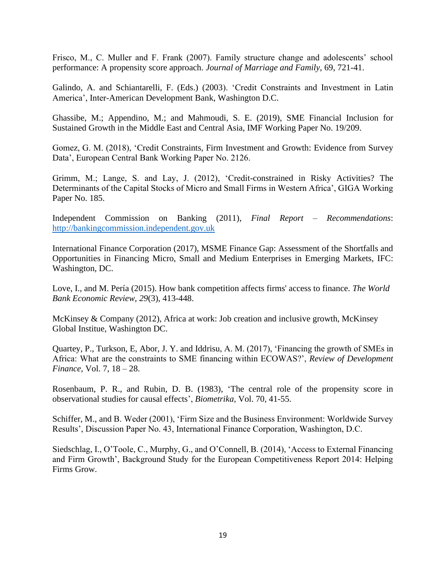Frisco, M., C. Muller and F. Frank (2007). Family structure change and adolescents' school performance: A propensity score approach. *Journal of Marriage and Family*, 69, 721-41.

Galindo, A. and Schiantarelli, F. (Eds.) (2003). 'Credit Constraints and Investment in Latin America', Inter-American Development Bank, Washington D.C.

Ghassibe, M.; Appendino, M.; and Mahmoudi, S. E. (2019), SME Financial Inclusion for Sustained Growth in the Middle East and Central Asia, IMF Working Paper No. 19/209.

Gomez, G. M. (2018), 'Credit Constraints, Firm Investment and Growth: Evidence from Survey Data', European Central Bank Working Paper No. 2126.

Grimm, M.; Lange, S. and Lay, J. (2012), 'Credit-constrained in Risky Activities? The Determinants of the Capital Stocks of Micro and Small Firms in Western Africa', GIGA Working Paper No. 185.

Independent Commission on Banking (2011), *Final Report – Recommendations*: [http://bankingcommission.independent.gov.uk](http://bankingcommission.independent.gov.uk/)

International Finance Corporation (2017), MSME Finance Gap: Assessment of the Shortfalls and Opportunities in Financing Micro, Small and Medium Enterprises in Emerging Markets, IFC: Washington, DC.

Love, I., and M. Pería (2015). How bank competition affects firms' access to finance. *The World Bank Economic Review*, *29*(3), 413-448.

McKinsey & Company (2012), Africa at work: Job creation and inclusive growth, McKinsey Global Institue, Washington DC.

Quartey, P., Turkson, E, Abor, J. Y. and Iddrisu, A. M. (2017), 'Financing the growth of SMEs in Africa: What are the constraints to SME financing within ECOWAS?', *Review of Development Finance,* Vol. 7, 18 – 28.

Rosenbaum, P. R., and Rubin, D. B. (1983), 'The central role of the propensity score in observational studies for causal effects', *Biometrika,* Vol. 70, 41-55.

Schiffer, M., and B. Weder (2001), 'Firm Size and the Business Environment: Worldwide Survey Results', Discussion Paper No. 43, International Finance Corporation, Washington, D.C.

Siedschlag, I., O'Toole, C., Murphy, G., and O'Connell, B. (2014), 'Access to External Financing and Firm Growth', Background Study for the European Competitiveness Report 2014: Helping Firms Grow.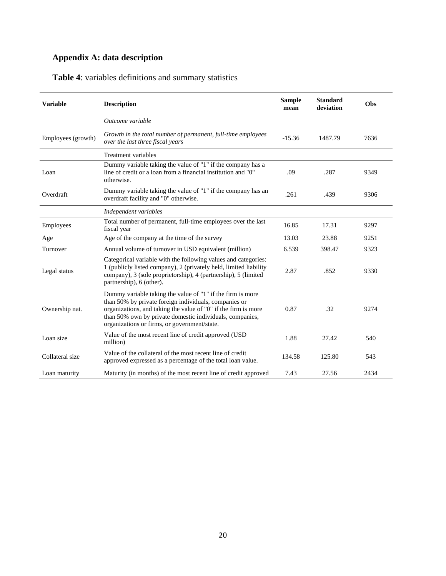## **Appendix A: data description**

## **Table 4**: variables definitions and summary statistics

| <b>Variable</b>    | <b>Description</b>                                                                                                                                                                                                                                                                                | <b>Sample</b><br>mean | <b>Standard</b><br>deviation | Obs  |
|--------------------|---------------------------------------------------------------------------------------------------------------------------------------------------------------------------------------------------------------------------------------------------------------------------------------------------|-----------------------|------------------------------|------|
|                    | Outcome variable                                                                                                                                                                                                                                                                                  |                       |                              |      |
| Employees (growth) | Growth in the total number of permanent, full-time employees<br>over the last three fiscal years                                                                                                                                                                                                  | $-15.36$              | 1487.79                      | 7636 |
|                    | Treatment variables                                                                                                                                                                                                                                                                               |                       |                              |      |
| Loan               | Dummy variable taking the value of "1" if the company has a<br>line of credit or a loan from a financial institution and "0"<br>otherwise.                                                                                                                                                        | .09                   | .287                         | 9349 |
| Overdraft          | Dummy variable taking the value of "1" if the company has an<br>overdraft facility and "0" otherwise.                                                                                                                                                                                             | .261                  | .439                         | 9306 |
|                    | Independent variables                                                                                                                                                                                                                                                                             |                       |                              |      |
| Employees          | Total number of permanent, full-time employees over the last<br>fiscal year                                                                                                                                                                                                                       | 16.85                 | 17.31                        | 9297 |
| Age                | Age of the company at the time of the survey                                                                                                                                                                                                                                                      | 13.03                 | 23.88                        | 9251 |
| Turnover           | Annual volume of turnover in USD equivalent (million)                                                                                                                                                                                                                                             | 6.539                 | 398.47                       | 9323 |
| Legal status       | Categorical variable with the following values and categories:<br>1 (publicly listed company), 2 (privately held, limited liability<br>company), 3 (sole proprietorship), 4 (partnership), 5 (limited<br>partnership), 6 (other).                                                                 | 2.87                  | .852                         | 9330 |
| Ownership nat.     | Dummy variable taking the value of "1" if the firm is more<br>than 50% by private foreign individuals, companies or<br>organizations, and taking the value of "0" if the firm is more<br>than 50% own by private domestic individuals, companies,<br>organizations or firms, or government/state. | 0.87                  | .32                          | 9274 |
| Loan size          | Value of the most recent line of credit approved (USD)<br>million)                                                                                                                                                                                                                                | 1.88                  | 27.42                        | 540  |
| Collateral size    | Value of the collateral of the most recent line of credit<br>approved expressed as a percentage of the total loan value.                                                                                                                                                                          | 134.58                | 125.80                       | 543  |
| Loan maturity      | Maturity (in months) of the most recent line of credit approved                                                                                                                                                                                                                                   | 7.43                  | 27.56                        | 2434 |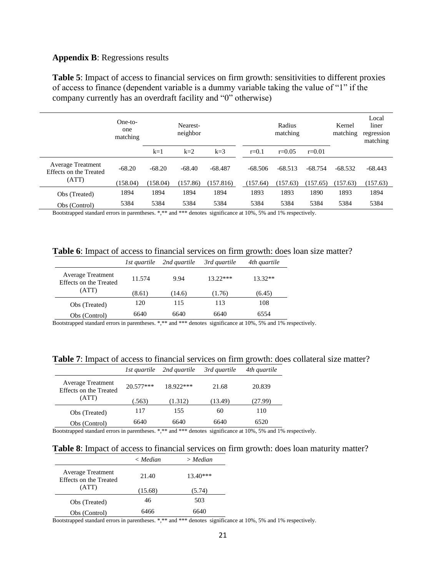#### **Appendix B**: Regressions results

**Table 5**: Impact of access to financial services on firm growth: sensitivities to different proxies of access to finance (dependent variable is a dummy variable taking the value of "1" if the company currently has an overdraft facility and "0" otherwise)

|                                                    | $One-to-$<br>one<br>matching | Nearest-<br>neighbor |          | Radius<br>matching |           |            | Kernel<br>matching | Local<br>liner<br>regression<br>matching |           |
|----------------------------------------------------|------------------------------|----------------------|----------|--------------------|-----------|------------|--------------------|------------------------------------------|-----------|
|                                                    |                              | $k=1$                | $k=2$    | $k=3$              | $r = 0.1$ | $r = 0.05$ | $r = 0.01$         |                                          |           |
| <b>Average Treatment</b><br>Effects on the Treated | $-68.20$                     | $-68.20$             | $-68.40$ | $-68.487$          | $-68.506$ | $-68.513$  | $-68.754$          | $-68.532$                                | $-68.443$ |
| (ATT)                                              | (158.04)                     | (158.04)             | (157.86) | (157.816)          | (157.64)  | (157.63)   | (157.65)           | (157.63)                                 | (157.63)  |
| Obs (Treated)                                      | 1894                         | 1894                 | 1894     | 1894               | 1893      | 1893       | 1890               | 1893                                     | 1894      |
| Obs (Control)                                      | 5384                         | 5384                 | 5384     | 5384               | 5384      | 5384       | 5384               | 5384                                     | 5384      |

Bootstrapped standard errors in parentheses. \*,\*\* and \*\*\* denotes significance at 10%, 5% and 1% respectively.

**Table 6**: Impact of access to financial services on firm growth: does loan size matter?

|                                                    | <i>Ist quartile</i> | 2nd quartile | 3rd quartile | 4th quartile |
|----------------------------------------------------|---------------------|--------------|--------------|--------------|
| <b>Average Treatment</b><br>Effects on the Treated | 11.574              | 9.94         | $13.22***$   | $13.32**$    |
| (ATT)                                              | (8.61)              | (14.6)       | (1.76)       | (6.45)       |
| Obs (Treated)                                      | 120                 | 115          | 113          | 108          |
| Obs (Control)                                      | 6640                | 6640         | 6640         | 6554         |

Bootstrapped standard errors in parentheses. \*,\*\* and \*\*\* denotes significance at 10%, 5% and 1% respectively.

**Table 7**: Impact of access to financial services on firm growth: does collateral size matter?

|                                                             | 1st quartile | 2nd quartile | 3rd quartile | 4th quartile |
|-------------------------------------------------------------|--------------|--------------|--------------|--------------|
| <b>Average Treatment</b><br>Effects on the Treated<br>(ATT) | $20.577***$  | 18.922***    | 21.68        | 20.839       |
|                                                             | (.563)       | (1.312)      | (13.49)      | (27.99)      |
| Obs (Treated)                                               | 117          | 155          | 60           | 110          |
| Obs (Control)                                               | 6640         | 6640         | 6640         | 6520         |

Bootstrapped standard errors in parentheses. \*,\*\* and \*\*\* denotes significance at 10%, 5% and 1% respectively.

**Table 8**: Impact of access to financial services on firm growth: does loan maturity matter?

|                                                    | $\langle$ Median | > Median   |
|----------------------------------------------------|------------------|------------|
| <b>Average Treatment</b><br>Effects on the Treated | 21.40            | $13.40***$ |
| (ATT)                                              | (15.68)          | (5.74)     |
| Obs (Treated)                                      | 46               | 503        |
| Obs (Control)                                      | 6466             | 6640       |

Bootstrapped standard errors in parentheses. \*,\*\* and \*\*\* denotes significance at 10%, 5% and 1% respectively.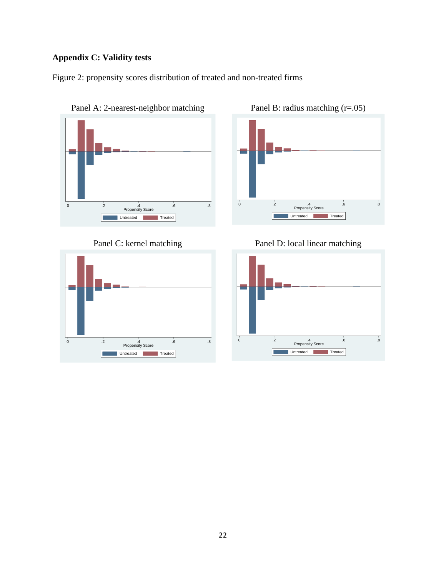### **Appendix C: Validity tests**

Figure 2: propensity scores distribution of treated and non-treated firms









Panel C: kernel matching Panel D: local linear matching